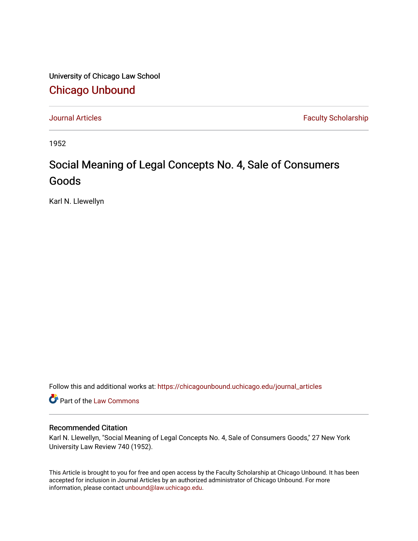University of Chicago Law School [Chicago Unbound](https://chicagounbound.uchicago.edu/)

[Journal Articles](https://chicagounbound.uchicago.edu/journal_articles) **Faculty Scholarship Faculty Scholarship** 

1952

## Social Meaning of Legal Concepts No. 4, Sale of Consumers Goods

Karl N. Llewellyn

Follow this and additional works at: [https://chicagounbound.uchicago.edu/journal\\_articles](https://chicagounbound.uchicago.edu/journal_articles?utm_source=chicagounbound.uchicago.edu%2Fjournal_articles%2F9378&utm_medium=PDF&utm_campaign=PDFCoverPages) 

Part of the [Law Commons](http://network.bepress.com/hgg/discipline/578?utm_source=chicagounbound.uchicago.edu%2Fjournal_articles%2F9378&utm_medium=PDF&utm_campaign=PDFCoverPages)

## Recommended Citation

Karl N. Llewellyn, "Social Meaning of Legal Concepts No. 4, Sale of Consumers Goods," 27 New York University Law Review 740 (1952).

This Article is brought to you for free and open access by the Faculty Scholarship at Chicago Unbound. It has been accepted for inclusion in Journal Articles by an authorized administrator of Chicago Unbound. For more information, please contact [unbound@law.uchicago.edu](mailto:unbound@law.uchicago.edu).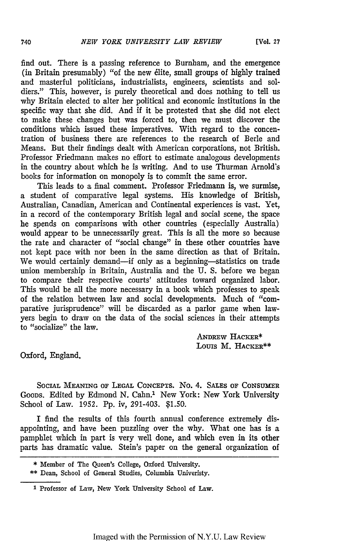find out. There is a passing reference to Burnham, and the emergence (in Britain presumably) "of the new 6lite, small groups of highly trained and masterful politicians, industrialists, engineers, scientists and soldiers." This, however, is purely theoretical and does nothing to tell us why Britain elected to alter her political and economic institutions in the specific way that she did. And if it be protested that she did not elect to make these changes but was forced to, then we must discover the conditions which issued these imperatives. With regard to the concentration of business there are references to the research of Berle and Means. But their findings dealt with American corporations, not British. Professor Friedmann makes no effort to estimate analogous developments in the country about which he is writing. And to use Thurman Arnold's books for information on monopoly is to commit the same error.

This leads to a final comment. Professor Friedmann is, we surmise, a student of comparative legal systems. His knowledge of British, Australian, Canadian, American and Continental experiences is vast. Yet, in a record of the contemporary British legal and social scene, the space he spends on comparisons with other countries (especially Australia) would appear to be unnecessarily great. This is all the more so because the rate and character of "social change" in these other countries have not kept pace with nor been in the same direction as that of Britain. We would certainly demand-if only as a beginning-statistics on trade union membership in Britain, Australia and the U. S. before we began to compare their respective courts' attitudes toward organized labor. This would be all the more necessary in a book which professes to speak of the relation between law and social developments. Much of "comparative jurisprudence" will be discarded as a parlor game when lawyers begin to draw on the data of the social sciences in their attempts to "socialize" the law.

> ANDREW HACKER\* Louis M. HACKER\*\*

Oxford, England.

SOCIAL MEANING **OF LEGAL** CONCEPTS. No. 4. **SALES OF CONSUMER** GOODS. Edited by Edmond N. Cahn.' New York: New York University School of Law. 1952. Pp. iv, 291-403. **\$1.50.**

I find the results of this fourth annual conference extremely disappointing, and have been puzzling over the why. What one has is a pamphlet which in part is very well done, and which even in its other parts has dramatic value. Stein's paper on the general organization of

<sup>\*</sup> Member of The Queen's College, **Oxford University.**

**<sup>\*\*</sup> Dean,** School **of** General Studies, **Columbia** Univeristy.

<sup>1</sup> **Professor of Law, New York University School of Law.**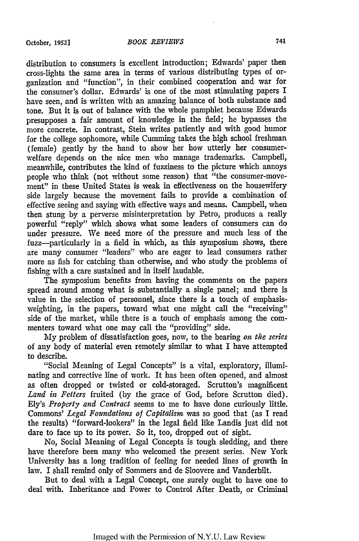distribution to consumers is excellent introduction; Edwards' paper then cross-lights the same area in terms of various distributing types of organization and "function", in their combined cooperation and war for the consumer's dollar. Edwards' is one of the most stimulating papers I have seen, and is written with an amazing balance of both substance and tone. But it is out of balance with the whole pamphlet because Edwards presupposes a fair amount of knowledge in the field; he bypasses the more concrete. In contrast, Stein writes patiently and with good humor for the college sophomore, while Cumming takes the high school freshman (female) gently by the hand to show her how utterly her consumerwelfare depends on the nice men who manage trademarks. Campbell, meanwhile, contributes the kind of fuzziness to the picture which annoys people who think (not without some reason) that "the consumer-movement" in these United States is weak in effectiveness on the housewifery side largely because the movement fails to provide a combination of effective seeing and saying with effective ways and means. Campbell, when then stung by a perverse misinterpretation by Petro, produces a really powerful "reply" which shows what some leaders of consumers can do under pressure. We need more of the pressure and much less of the fuzz-particularly in a field in which, as this symposium shows, there are many consumer "leaders" who are eager to lead consumers rather more as fish for catching than otherwise, and who study the problems of fishing with a care sustained and in itself laudable.

The symposium benefits from having the comments on the papers spread around among what is substantially a single panel; and there is value in the selection of personnel, since there is a touch of emphasisweighting, in the papers, toward what one might call the "receiving" side of the market, while there is a touch of emphasis among the commenters toward what one may call the "providing" side.

My problem of dissatisfaction goes, now, to the bearing *on the series* of any body of material even remotely similar to what I have attempted to describe.

"Social Meaning of Legal Concepts" is a vital, exploratory, illuminating and corrective line of work. It has been often opened, and almost as often dropped or twisted or cold-storaged. Scrutton's magnificent *Land in Fetters* fruited (by the grace of God, before Scrutton died). Ely's *Property and Contract* seems to me to have done curiously little. Commons' *Legal Foundations of Capitalism* was so good that (as I read the results) "forward-lookers" in the legal field like Landis just did not dare to face up to its power. So it, too, dropped out of sight.

No, Social Meaning of Legal Concepts is tough sledding, and there have therefore been many who welcomed the present series. New York University has a long tradition of feeling for needed lines of growth in law. I shall remind only of Sommers and de Sloovere and Vanderbilt.

But to deal with a Legal Concept, one surely ought to have one to deal with. Inheritance and Power to Control After Death, or Criminal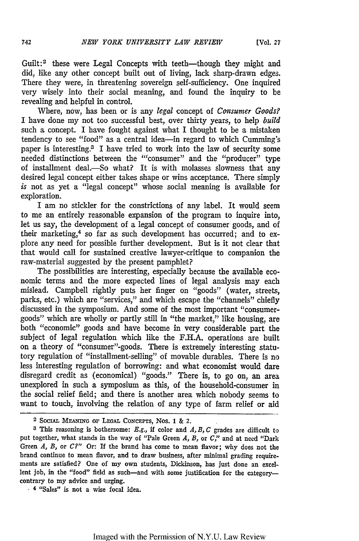Guilt:<sup>2</sup> these were Legal Concepts with teeth—though they might and did, like any other concept built out of living, lack sharp-drawn edges. There they were, in threatening sovereign self-sufficiency. One inquired very wisely into their social meaning, and found the inquiry to be revealing and helpful in control.

Where, now, has been or is any *legal* concept of *Consumer Goods?* I have done my not too successful best, over thirty years, to help *build* such a concept. I have fought against what I thought to be a mistaken tendency to see "food" as a central idea-in regard to which Cumming's paper is interesting. 3 I have tried to work into the law of security some needed distinctions between the "consumer" and the "producer" type of installment deal.-So what? It is with molasses slowness that any desired legal concept either takes shape or wins acceptance. There simply *is* not as yet a "legal concept" whose social meaning is available for exploration.

I am no stickler for the constrictions of any label. It would seem to me an entirely reasonable expansion of the program to inquire into, let us say, the development of a legal concept of consumer goods, and of their marketing, $4$  so far as such development has occurred; and to explore any need for possible further development. But is it not clear that that would call for sustained creative lawyer-critique to companion the raw-material suggested by the present pamphlet?

The possibilities are interesting, especially because the available economic terms and the more expected lines of legal analysis may each mislead. Campbell rightly puts her finger on "goods" (water, streets, parks, etc.) which are "services," and which escape the "channels" chiefly discussed in the symposium. And some of the most important "consumergoods" which are wholly or partly still in "the market," like housing, are both "economic" goods and have become in very considerable part the subject of legal regulation which like the F.H.A. operations are built on a theory of "consumer"-goods. There is extremely interesting statutory regulation of "installment-selling" of movable durables. There is no less interesting regulation of borrowing: and what economist would dare disregard credit as (economical) "goods." There is, to go on, an area unexplored in such a symposium as this, of the household-consumer in the social relief field; and there is another area which nobody seems to want to touch, involving the relation of any type of farm relief or aid

<sup>2</sup>**SOCIAL MEANMG** or **LEGAL CONCEPTS,** Nos. 1 & 2.

**<sup>3</sup>** This reasoning is bothersome: E.g., if color and *A, B, C* grades are difficult to put together, what stands in the way of "Pale Green *A, B,* or *C,"* and at need "Dark Green *A, B,* or *C?"* Or: If the brand has come to mean flavor; why does not the brand continue to mean flavor, and to draw business, after minimal grading requirements are satisfied? One of my own students, Dickinson, has just done an excellent job, in the "food" field as such-and with some justification for the categorycontrary to my advice and urging.<br>
<sup>4</sup> "Sales" is not a wise focal idea.